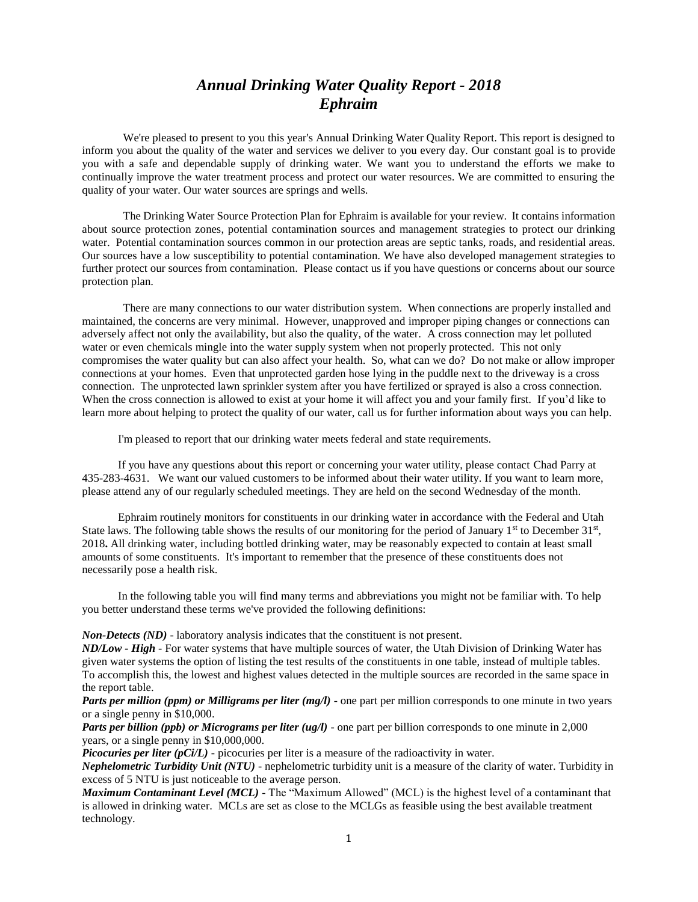## *Annual Drinking Water Quality Report - 2018 Ephraim*

We're pleased to present to you this year's Annual Drinking Water Quality Report. This report is designed to inform you about the quality of the water and services we deliver to you every day. Our constant goal is to provide you with a safe and dependable supply of drinking water. We want you to understand the efforts we make to continually improve the water treatment process and protect our water resources. We are committed to ensuring the quality of your water. Our water sources are springs and wells.

The Drinking Water Source Protection Plan for Ephraim is available for your review. It contains information about source protection zones, potential contamination sources and management strategies to protect our drinking water. Potential contamination sources common in our protection areas are septic tanks, roads, and residential areas. Our sources have a low susceptibility to potential contamination. We have also developed management strategies to further protect our sources from contamination. Please contact us if you have questions or concerns about our source protection plan.

There are many connections to our water distribution system. When connections are properly installed and maintained, the concerns are very minimal. However, unapproved and improper piping changes or connections can adversely affect not only the availability, but also the quality, of the water. A cross connection may let polluted water or even chemicals mingle into the water supply system when not properly protected. This not only compromises the water quality but can also affect your health. So, what can we do? Do not make or allow improper connections at your homes. Even that unprotected garden hose lying in the puddle next to the driveway is a cross connection. The unprotected lawn sprinkler system after you have fertilized or sprayed is also a cross connection. When the cross connection is allowed to exist at your home it will affect you and your family first. If you'd like to learn more about helping to protect the quality of our water, call us for further information about ways you can help.

I'm pleased to report that our drinking water meets federal and state requirements.

If you have any questions about this report or concerning your water utility, please contact Chad Parry at 435-283-4631. We want our valued customers to be informed about their water utility. If you want to learn more, please attend any of our regularly scheduled meetings. They are held on the second Wednesday of the month.

Ephraim routinely monitors for constituents in our drinking water in accordance with the Federal and Utah State laws. The following table shows the results of our monitoring for the period of January  $1<sup>st</sup>$  to December  $31<sup>st</sup>$ , 2018**.** All drinking water, including bottled drinking water, may be reasonably expected to contain at least small amounts of some constituents. It's important to remember that the presence of these constituents does not necessarily pose a health risk.

In the following table you will find many terms and abbreviations you might not be familiar with. To help you better understand these terms we've provided the following definitions:

*Non-Detects (ND)* - laboratory analysis indicates that the constituent is not present.

*ND/Low - High -* For water systems that have multiple sources of water, the Utah Division of Drinking Water has given water systems the option of listing the test results of the constituents in one table, instead of multiple tables. To accomplish this, the lowest and highest values detected in the multiple sources are recorded in the same space in the report table.

*Parts per million (ppm) or Milligrams per liter (mg/l)* - one part per million corresponds to one minute in two years or a single penny in \$10,000.

*Parts per billion (ppb) or Micrograms per liter (ug/l)* - one part per billion corresponds to one minute in 2,000 years, or a single penny in \$10,000,000.

*Picocuries per liter (pCi/L)* - picocuries per liter is a measure of the radioactivity in water.

*Nephelometric Turbidity Unit (NTU)* - nephelometric turbidity unit is a measure of the clarity of water. Turbidity in excess of 5 NTU is just noticeable to the average person.

*Maximum Contaminant Level (MCL)* - The "Maximum Allowed" (MCL) is the highest level of a contaminant that is allowed in drinking water. MCLs are set as close to the MCLGs as feasible using the best available treatment technology.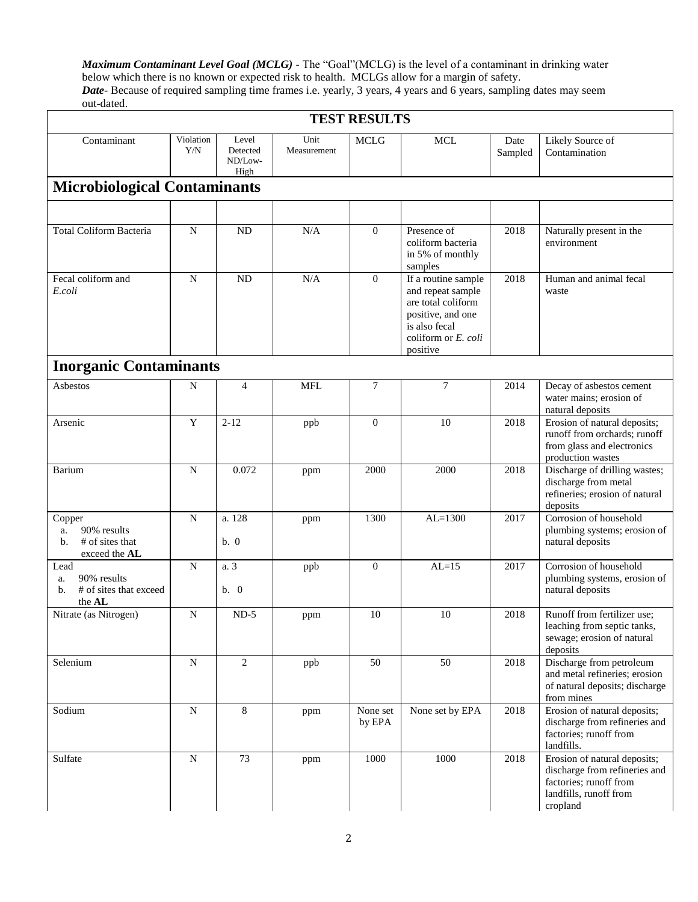*Maximum Contaminant Level Goal (MCLG)* - The "Goal"(MCLG) is the level of a contaminant in drinking water below which there is no known or expected risk to health. MCLGs allow for a margin of safety. *Date*- Because of required sampling time frames i.e. yearly, 3 years, 4 years and 6 years, sampling dates may seem out-dated.

| <b>TEST RESULTS</b>                                                   |                  |                                      |                     |                    |                                                                                                                                            |                 |                                                                                                                               |  |  |
|-----------------------------------------------------------------------|------------------|--------------------------------------|---------------------|--------------------|--------------------------------------------------------------------------------------------------------------------------------------------|-----------------|-------------------------------------------------------------------------------------------------------------------------------|--|--|
| Contaminant                                                           | Violation<br>Y/N | Level<br>Detected<br>ND/Low-<br>High | Unit<br>Measurement | <b>MCLG</b>        | <b>MCL</b>                                                                                                                                 | Date<br>Sampled | Likely Source of<br>Contamination                                                                                             |  |  |
| <b>Microbiological Contaminants</b>                                   |                  |                                      |                     |                    |                                                                                                                                            |                 |                                                                                                                               |  |  |
|                                                                       |                  |                                      |                     |                    |                                                                                                                                            |                 |                                                                                                                               |  |  |
| <b>Total Coliform Bacteria</b>                                        | ${\bf N}$        | ND                                   | N/A                 | $\overline{0}$     | Presence of<br>coliform bacteria<br>in 5% of monthly<br>samples                                                                            | 2018            | Naturally present in the<br>environment                                                                                       |  |  |
| Fecal coliform and<br>E.coli                                          | $\mathbf N$      | ND                                   | N/A                 | $\mathbf{0}$       | If a routine sample<br>and repeat sample<br>are total coliform<br>positive, and one<br>is also fecal<br>coliform or $E$ , coli<br>positive | 2018            | Human and animal fecal<br>waste                                                                                               |  |  |
| <b>Inorganic Contaminants</b>                                         |                  |                                      |                     |                    |                                                                                                                                            |                 |                                                                                                                               |  |  |
| Asbestos                                                              | N                | $\overline{4}$                       | <b>MFL</b>          | $\tau$             | $\overline{7}$                                                                                                                             | 2014            | Decay of asbestos cement<br>water mains; erosion of<br>natural deposits                                                       |  |  |
| Arsenic                                                               | Y                | $2 - 12$                             | ppb                 | $\mathbf{0}$       | 10                                                                                                                                         | 2018            | Erosion of natural deposits;<br>runoff from orchards: runoff<br>from glass and electronics<br>production wastes               |  |  |
| Barium                                                                | $\mathbf N$      | 0.072                                | ppm                 | 2000               | 2000                                                                                                                                       | 2018            | Discharge of drilling wastes;<br>discharge from metal<br>refineries; erosion of natural<br>deposits                           |  |  |
| Copper<br>90% results<br>a.<br># of sites that<br>b.<br>exceed the AL | $\mathbf N$      | a. 128<br>b. 0                       | ppm                 | 1300               | $AL=1300$                                                                                                                                  | 2017            | Corrosion of household<br>plumbing systems; erosion of<br>natural deposits                                                    |  |  |
| Lead<br>90% results<br>a.<br># of sites that exceed<br>b.<br>the AL   | ${\bf N}$        | a. 3<br>b. 0                         | ppb                 | $\overline{0}$     | $AL=15$                                                                                                                                    | 2017            | Corrosion of household<br>plumbing systems, erosion of<br>natural deposits                                                    |  |  |
| Nitrate (as Nitrogen)                                                 | ${\bf N}$        | $ND-5$                               | ppm                 | 10                 | 10                                                                                                                                         | 2018            | Runoff from fertilizer use;<br>leaching from septic tanks,<br>sewage; erosion of natural<br>deposits                          |  |  |
| Selenium                                                              | ${\bf N}$        | 2                                    | ppb                 | 50                 | 50                                                                                                                                         | 2018            | Discharge from petroleum<br>and metal refineries; erosion<br>of natural deposits; discharge<br>from mines                     |  |  |
| Sodium                                                                | ${\bf N}$        | 8                                    | ppm                 | None set<br>by EPA | None set by EPA                                                                                                                            | 2018            | Erosion of natural deposits;<br>discharge from refineries and<br>factories; runoff from<br>landfills.                         |  |  |
| Sulfate                                                               | ${\bf N}$        | 73                                   | ppm                 | 1000               | 1000                                                                                                                                       | 2018            | Erosion of natural deposits;<br>discharge from refineries and<br>factories; runoff from<br>landfills, runoff from<br>cropland |  |  |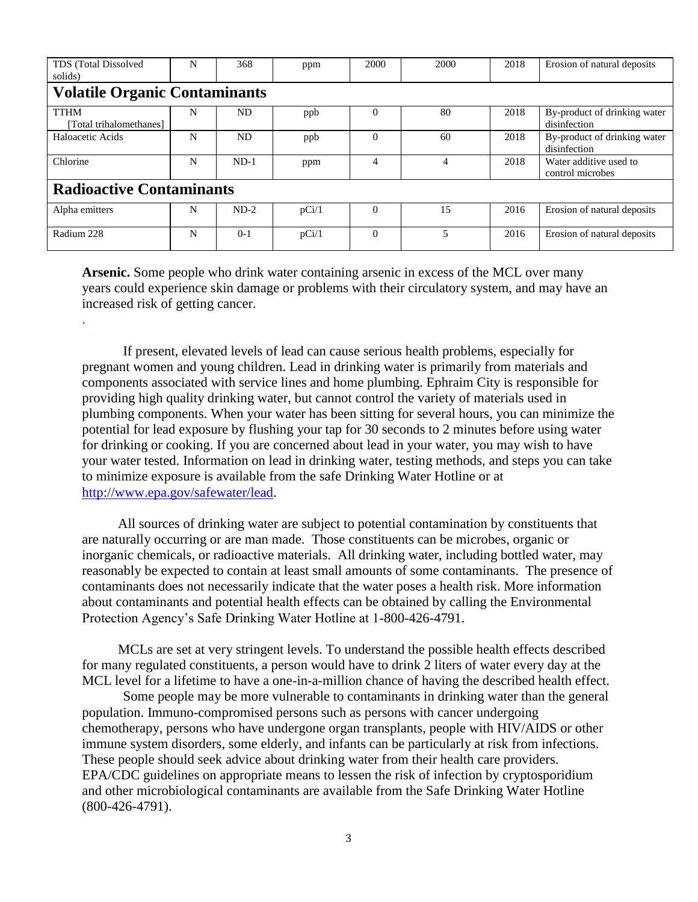| TDS (Total Dissolved<br>solids)        | N | 368     | ppm   | 2000     | 2000 | 2018 | Erosion of natural deposits                  |  |  |  |  |  |
|----------------------------------------|---|---------|-------|----------|------|------|----------------------------------------------|--|--|--|--|--|
| <b>Volatile Organic Contaminants</b>   |   |         |       |          |      |      |                                              |  |  |  |  |  |
| <b>TTHM</b><br>[Total trihalomethanes] | N | ND.     | ppb   | $\theta$ | 80   | 2018 | By-product of drinking water<br>disinfection |  |  |  |  |  |
| Haloacetic Acids                       | N | ND.     | ppb   | $\theta$ | 60   | 2018 | By-product of drinking water<br>disinfection |  |  |  |  |  |
| Chlorine                               | N | $ND-1$  | ppm   | 4        | 4    | 2018 | Water additive used to<br>control microbes   |  |  |  |  |  |
| <b>Radioactive Contaminants</b>        |   |         |       |          |      |      |                                              |  |  |  |  |  |
| Alpha emitters                         | N | $ND-2$  | pCi/1 | $\theta$ | 15   | 2016 | Erosion of natural deposits                  |  |  |  |  |  |
| Radium 228                             | N | $0 - 1$ | pCi/1 | $\theta$ | 5    | 2016 | Erosion of natural deposits                  |  |  |  |  |  |

**Arsenic.** Some people who drink water containing arsenic in excess of the MCL over many years could experience skin damage or problems with their circulatory system, and may have an increased risk of getting cancer.

.

If present, elevated levels of lead can cause serious health problems, especially for pregnant women and young children. Lead in drinking water is primarily from materials and components associated with service lines and home plumbing. Ephraim City is responsible for providing high quality drinking water, but cannot control the variety of materials used in plumbing components. When your water has been sitting for several hours, you can minimize the potential for lead exposure by flushing your tap for 30 seconds to 2 minutes before using water for drinking or cooking. If you are concerned about lead in your water, you may wish to have your water tested. Information on lead in drinking water, testing methods, and steps you can take to minimize exposure is available from the safe Drinking Water Hotline or at [http://www.epa.gov/safewater/lead.](http://www.epa.gov/safewater/lead)

All sources of drinking water are subject to potential contamination by constituents that are naturally occurring or are man made. Those constituents can be microbes, organic or inorganic chemicals, or radioactive materials. All drinking water, including bottled water, may reasonably be expected to contain at least small amounts of some contaminants. The presence of contaminants does not necessarily indicate that the water poses a health risk. More information about contaminants and potential health effects can be obtained by calling the Environmental Protection Agency's Safe Drinking Water Hotline at 1-800-426-4791.

MCLs are set at very stringent levels. To understand the possible health effects described for many regulated constituents, a person would have to drink 2 liters of water every day at the MCL level for a lifetime to have a one-in-a-million chance of having the described health effect.

Some people may be more vulnerable to contaminants in drinking water than the general population. Immuno-compromised persons such as persons with cancer undergoing chemotherapy, persons who have undergone organ transplants, people with HIV/AIDS or other immune system disorders, some elderly, and infants can be particularly at risk from infections. These people should seek advice about drinking water from their health care providers. EPA/CDC guidelines on appropriate means to lessen the risk of infection by cryptosporidium and other microbiological contaminants are available from the Safe Drinking Water Hotline (800-426-4791).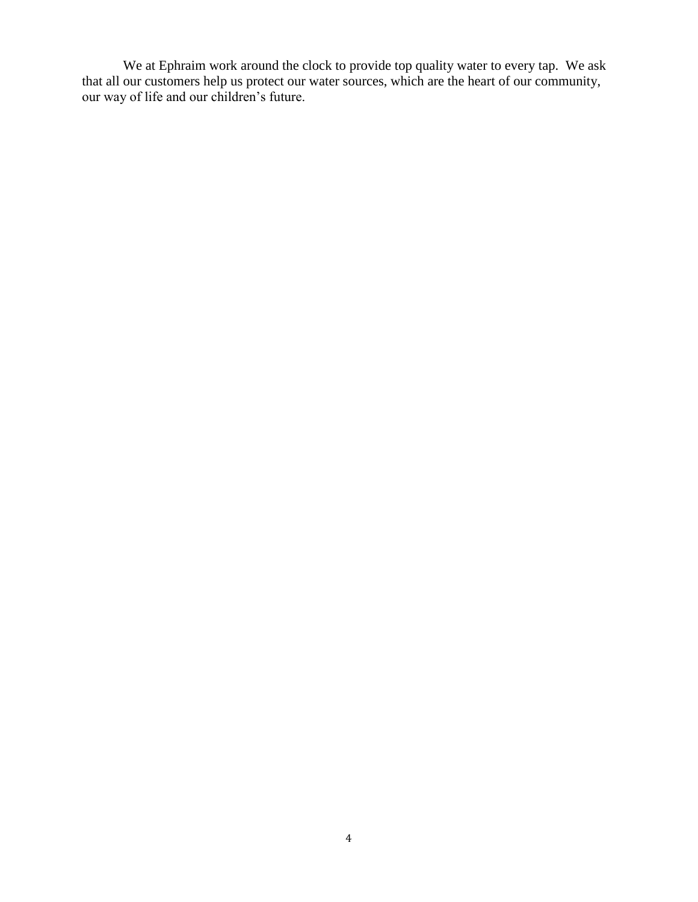We at Ephraim work around the clock to provide top quality water to every tap. We ask that all our customers help us protect our water sources, which are the heart of our community, our way of life and our children's future.